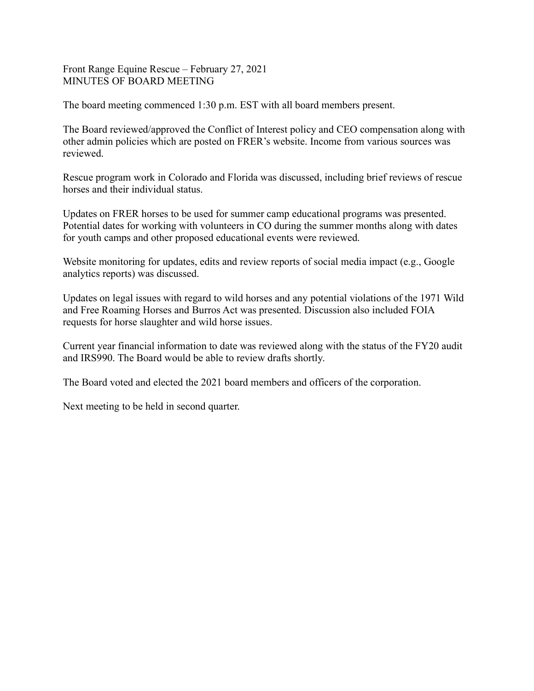Front Range Equine Rescue – February 27, 2021 MINUTES OF BOARD MEETING

The board meeting commenced 1:30 p.m. EST with all board members present.

The Board reviewed/approved the Conflict of Interest policy and CEO compensation along with other admin policies which are posted on FRER's website. Income from various sources was reviewed.

Rescue program work in Colorado and Florida was discussed, including brief reviews of rescue horses and their individual status.

Updates on FRER horses to be used for summer camp educational programs was presented. Potential dates for working with volunteers in CO during the summer months along with dates for youth camps and other proposed educational events were reviewed.

Website monitoring for updates, edits and review reports of social media impact (e.g., Google analytics reports) was discussed.

Updates on legal issues with regard to wild horses and any potential violations of the 1971 Wild and Free Roaming Horses and Burros Act was presented. Discussion also included FOIA requests for horse slaughter and wild horse issues.

Current year financial information to date was reviewed along with the status of the FY20 audit and IRS990. The Board would be able to review drafts shortly.

The Board voted and elected the 2021 board members and officers of the corporation.

Next meeting to be held in second quarter.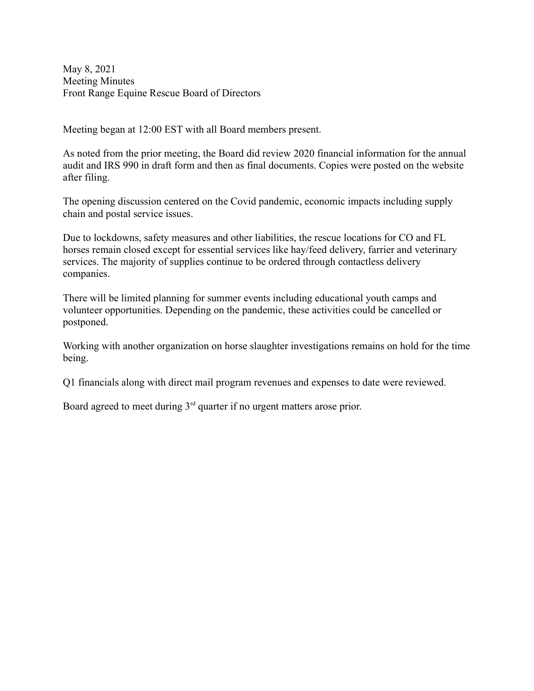May 8, 2021 Meeting Minutes Front Range Equine Rescue Board of Directors

Meeting began at 12:00 EST with all Board members present.

As noted from the prior meeting, the Board did review 2020 financial information for the annual audit and IRS 990 in draft form and then as final documents. Copies were posted on the website after filing.

The opening discussion centered on the Covid pandemic, economic impacts including supply chain and postal service issues.

Due to lockdowns, safety measures and other liabilities, the rescue locations for CO and FL horses remain closed except for essential services like hay/feed delivery, farrier and veterinary services. The majority of supplies continue to be ordered through contactless delivery companies.

There will be limited planning for summer events including educational youth camps and volunteer opportunities. Depending on the pandemic, these activities could be cancelled or postponed.

Working with another organization on horse slaughter investigations remains on hold for the time being.

Q1 financials along with direct mail program revenues and expenses to date were reviewed.

Board agreed to meet during  $3<sup>rd</sup>$  quarter if no urgent matters arose prior.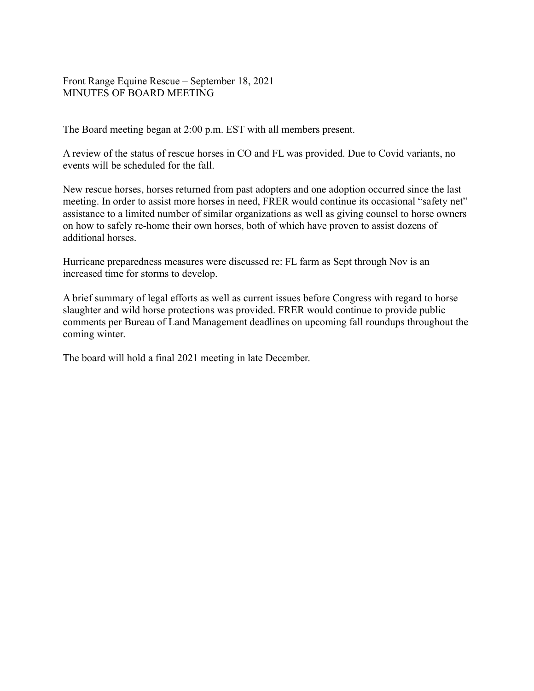Front Range Equine Rescue – September 18, 2021 MINUTES OF BOARD MEETING

The Board meeting began at 2:00 p.m. EST with all members present.

A review of the status of rescue horses in CO and FL was provided. Due to Covid variants, no events will be scheduled for the fall.

New rescue horses, horses returned from past adopters and one adoption occurred since the last meeting. In order to assist more horses in need, FRER would continue its occasional "safety net" assistance to a limited number of similar organizations as well as giving counsel to horse owners on how to safely re-home their own horses, both of which have proven to assist dozens of additional horses.

Hurricane preparedness measures were discussed re: FL farm as Sept through Nov is an increased time for storms to develop.

A brief summary of legal efforts as well as current issues before Congress with regard to horse slaughter and wild horse protections was provided. FRER would continue to provide public comments per Bureau of Land Management deadlines on upcoming fall roundups throughout the coming winter.

The board will hold a final 2021 meeting in late December.